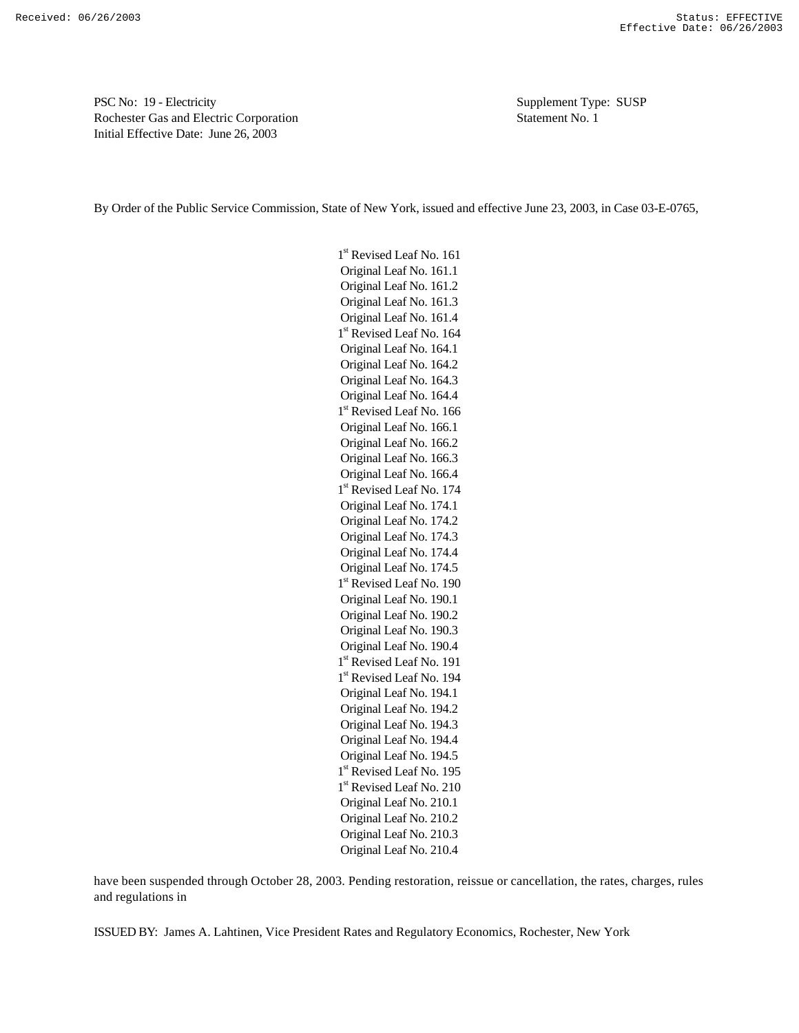PSC No: 19 - Electricity Supplement Type: SUSP Rochester Gas and Electric Corporation Statement No. 1 Initial Effective Date: June 26, 2003

By Order of the Public Service Commission, State of New York, issued and effective June 23, 2003, in Case 03-E-0765,

1<sup>st</sup> Revised Leaf No. 161 Original Leaf No. 161.1 Original Leaf No. 161.2 Original Leaf No. 161.3 Original Leaf No. 161.4 1<sup>st</sup> Revised Leaf No. 164 Original Leaf No. 164.1 Original Leaf No. 164.2 Original Leaf No. 164.3 Original Leaf No. 164.4 1<sup>st</sup> Revised Leaf No. 166 Original Leaf No. 166.1 Original Leaf No. 166.2 Original Leaf No. 166.3 Original Leaf No. 166.4 1<sup>st</sup> Revised Leaf No. 174 Original Leaf No. 174.1 Original Leaf No. 174.2 Original Leaf No. 174.3 Original Leaf No. 174.4 Original Leaf No. 174.5 1<sup>st</sup> Revised Leaf No. 190 Original Leaf No. 190.1 Original Leaf No. 190.2 Original Leaf No. 190.3 Original Leaf No. 190.4 1<sup>st</sup> Revised Leaf No. 191 1<sup>st</sup> Revised Leaf No. 194 Original Leaf No. 194.1 Original Leaf No. 194.2 Original Leaf No. 194.3 Original Leaf No. 194.4 Original Leaf No. 194.5 1<sup>st</sup> Revised Leaf No. 195 1<sup>st</sup> Revised Leaf No. 210 Original Leaf No. 210.1 Original Leaf No. 210.2 Original Leaf No. 210.3 Original Leaf No. 210.4

have been suspended through October 28, 2003. Pending restoration, reissue or cancellation, the rates, charges, rules and regulations in

ISSUED BY: James A. Lahtinen, Vice President Rates and Regulatory Economics, Rochester, New York